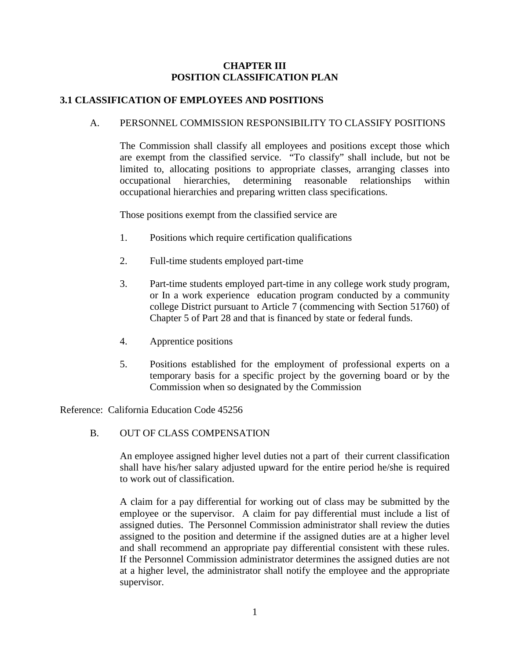### **CHAPTER III POSITION CLASSIFICATION PLAN**

# **3.1 CLASSIFICATION OF EMPLOYEES AND POSITIONS**

## A. PERSONNEL COMMISSION RESPONSIBILITY TO CLASSIFY POSITIONS

The Commission shall classify all employees and positions except those which are exempt from the classified service. "To classify" shall include, but not be limited to, allocating positions to appropriate classes, arranging classes into occupational hierarchies, determining reasonable relationships within occupational hierarchies and preparing written class specifications.

Those positions exempt from the classified service are

- 1. Positions which require certification qualifications
- 2. Full-time students employed part-time
- 3. Part-time students employed part-time in any college work study program, or In a work experience education program conducted by a community college District pursuant to Article 7 (commencing with Section 51760) of Chapter 5 of Part 28 and that is financed by state or federal funds.
- 4. Apprentice positions
- 5. Positions established for the employment of professional experts on a temporary basis for a specific project by the governing board or by the Commission when so designated by the Commission

Reference: California Education Code 45256

B. OUT OF CLASS COMPENSATION

An employee assigned higher level duties not a part of their current classification shall have his/her salary adjusted upward for the entire period he/she is required to work out of classification.

A claim for a pay differential for working out of class may be submitted by the employee or the supervisor. A claim for pay differential must include a list of assigned duties. The Personnel Commission administrator shall review the duties assigned to the position and determine if the assigned duties are at a higher level and shall recommend an appropriate pay differential consistent with these rules. If the Personnel Commission administrator determines the assigned duties are not at a higher level, the administrator shall notify the employee and the appropriate supervisor.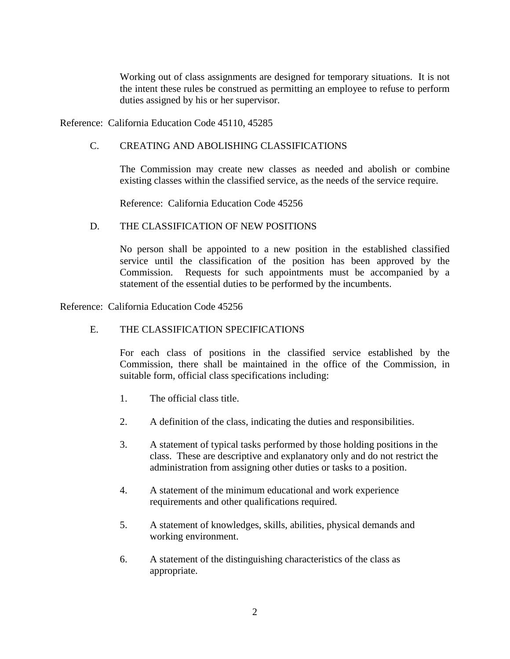Working out of class assignments are designed for temporary situations. It is not the intent these rules be construed as permitting an employee to refuse to perform duties assigned by his or her supervisor.

Reference: California Education Code 45110, 45285

### C. CREATING AND ABOLISHING CLASSIFICATIONS

The Commission may create new classes as needed and abolish or combine existing classes within the classified service, as the needs of the service require.

Reference: California Education Code 45256

#### D. THE CLASSIFICATION OF NEW POSITIONS

No person shall be appointed to a new position in the established classified service until the classification of the position has been approved by the Commission. Requests for such appointments must be accompanied by a statement of the essential duties to be performed by the incumbents.

Reference: California Education Code 45256

#### E. THE CLASSIFICATION SPECIFICATIONS

For each class of positions in the classified service established by the Commission, there shall be maintained in the office of the Commission, in suitable form, official class specifications including:

- 1. The official class title.
- 2. A definition of the class, indicating the duties and responsibilities.
- 3. A statement of typical tasks performed by those holding positions in the class. These are descriptive and explanatory only and do not restrict the administration from assigning other duties or tasks to a position.
- 4. A statement of the minimum educational and work experience requirements and other qualifications required.
- 5. A statement of knowledges, skills, abilities, physical demands and working environment.
- 6. A statement of the distinguishing characteristics of the class as appropriate.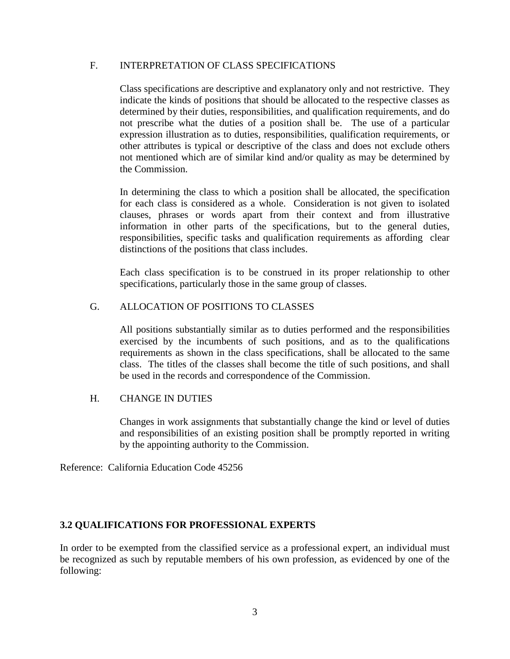#### F. INTERPRETATION OF CLASS SPECIFICATIONS

Class specifications are descriptive and explanatory only and not restrictive. They indicate the kinds of positions that should be allocated to the respective classes as determined by their duties, responsibilities, and qualification requirements, and do not prescribe what the duties of a position shall be. The use of a particular expression illustration as to duties, responsibilities, qualification requirements, or other attributes is typical or descriptive of the class and does not exclude others not mentioned which are of similar kind and/or quality as may be determined by the Commission.

In determining the class to which a position shall be allocated, the specification for each class is considered as a whole. Consideration is not given to isolated clauses, phrases or words apart from their context and from illustrative information in other parts of the specifications, but to the general duties, responsibilities, specific tasks and qualification requirements as affording clear distinctions of the positions that class includes.

Each class specification is to be construed in its proper relationship to other specifications, particularly those in the same group of classes.

### G. ALLOCATION OF POSITIONS TO CLASSES

All positions substantially similar as to duties performed and the responsibilities exercised by the incumbents of such positions, and as to the qualifications requirements as shown in the class specifications, shall be allocated to the same class. The titles of the classes shall become the title of such positions, and shall be used in the records and correspondence of the Commission.

#### H. CHANGE IN DUTIES

Changes in work assignments that substantially change the kind or level of duties and responsibilities of an existing position shall be promptly reported in writing by the appointing authority to the Commission.

Reference: California Education Code 45256

#### **3.2 QUALIFICATIONS FOR PROFESSIONAL EXPERTS**

In order to be exempted from the classified service as a professional expert, an individual must be recognized as such by reputable members of his own profession, as evidenced by one of the following: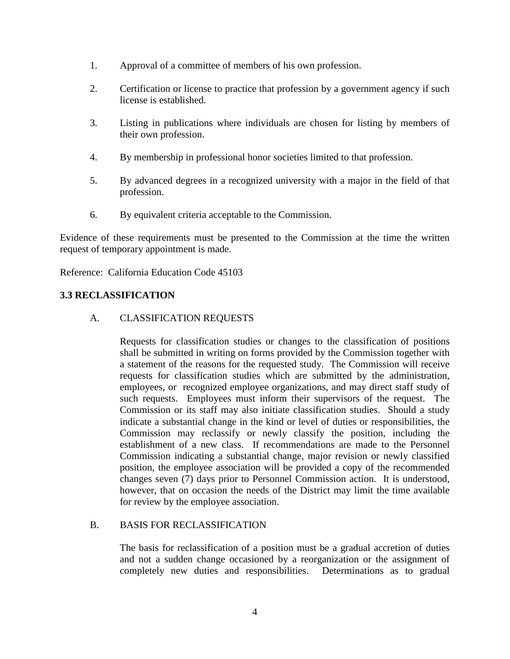- 1. Approval of a committee of members of his own profession.
- 2. Certification or license to practice that profession by a government agency if such license is established.
- 3. Listing in publications where individuals are chosen for listing by members of their own profession.
- 4. By membership in professional honor societies limited to that profession.
- 5. By advanced degrees in a recognized university with a major in the field of that profession.
- 6. By equivalent criteria acceptable to the Commission.

Evidence of these requirements must be presented to the Commission at the time the written request of temporary appointment is made.

Reference: California Education Code 45103

## **3.3 RECLASSIFICATION**

#### A. CLASSIFICATION REQUESTS

Requests for classification studies or changes to the classification of positions shall be submitted in writing on forms provided by the Commission together with a statement of the reasons for the requested study. The Commission will receive requests for classification studies which are submitted by the administration, employees, or recognized employee organizations, and may direct staff study of such requests. Employees must inform their supervisors of the request. The Commission or its staff may also initiate classification studies. Should a study indicate a substantial change in the kind or level of duties or responsibilities, the Commission may reclassify or newly classify the position, including the establishment of a new class. If recommendations are made to the Personnel Commission indicating a substantial change, major revision or newly classified position, the employee association will be provided a copy of the recommended changes seven (7) days prior to Personnel Commission action. It is understood, however, that on occasion the needs of the District may limit the time available for review by the employee association.

### B. BASIS FOR RECLASSIFICATION

The basis for reclassification of a position must be a gradual accretion of duties and not a sudden change occasioned by a reorganization or the assignment of completely new duties and responsibilities. Determinations as to gradual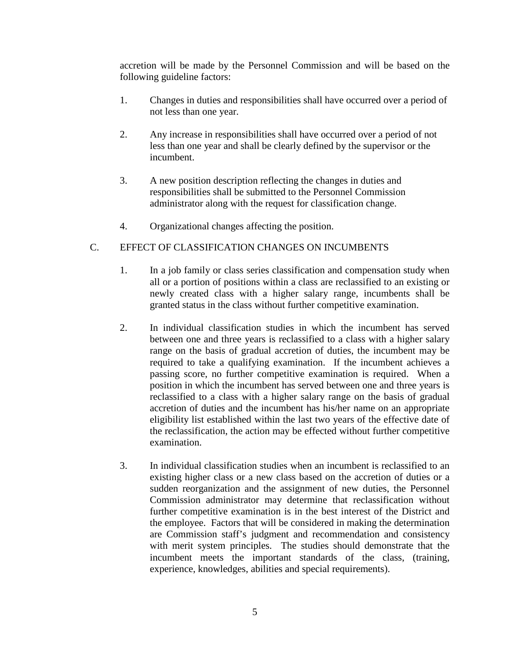accretion will be made by the Personnel Commission and will be based on the following guideline factors:

- 1. Changes in duties and responsibilities shall have occurred over a period of not less than one year.
- 2. Any increase in responsibilities shall have occurred over a period of not less than one year and shall be clearly defined by the supervisor or the incumbent.
- 3. A new position description reflecting the changes in duties and responsibilities shall be submitted to the Personnel Commission administrator along with the request for classification change.
- 4. Organizational changes affecting the position.

## C. EFFECT OF CLASSIFICATION CHANGES ON INCUMBENTS

- 1. In a job family or class series classification and compensation study when all or a portion of positions within a class are reclassified to an existing or newly created class with a higher salary range, incumbents shall be granted status in the class without further competitive examination.
- 2. In individual classification studies in which the incumbent has served between one and three years is reclassified to a class with a higher salary range on the basis of gradual accretion of duties, the incumbent may be required to take a qualifying examination. If the incumbent achieves a passing score, no further competitive examination is required. When a position in which the incumbent has served between one and three years is reclassified to a class with a higher salary range on the basis of gradual accretion of duties and the incumbent has his/her name on an appropriate eligibility list established within the last two years of the effective date of the reclassification, the action may be effected without further competitive examination.
- 3. In individual classification studies when an incumbent is reclassified to an existing higher class or a new class based on the accretion of duties or a sudden reorganization and the assignment of new duties, the Personnel Commission administrator may determine that reclassification without further competitive examination is in the best interest of the District and the employee. Factors that will be considered in making the determination are Commission staff's judgment and recommendation and consistency with merit system principles. The studies should demonstrate that the incumbent meets the important standards of the class, (training, experience, knowledges, abilities and special requirements).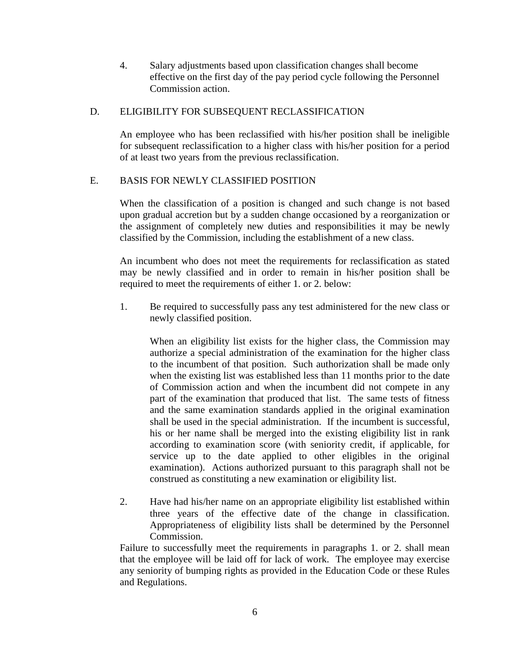4. Salary adjustments based upon classification changes shall become effective on the first day of the pay period cycle following the Personnel Commission action.

### D. ELIGIBILITY FOR SUBSEQUENT RECLASSIFICATION

An employee who has been reclassified with his/her position shall be ineligible for subsequent reclassification to a higher class with his/her position for a period of at least two years from the previous reclassification.

## E. BASIS FOR NEWLY CLASSIFIED POSITION

When the classification of a position is changed and such change is not based upon gradual accretion but by a sudden change occasioned by a reorganization or the assignment of completely new duties and responsibilities it may be newly classified by the Commission, including the establishment of a new class.

An incumbent who does not meet the requirements for reclassification as stated may be newly classified and in order to remain in his/her position shall be required to meet the requirements of either 1. or 2. below:

1. Be required to successfully pass any test administered for the new class or newly classified position.

When an eligibility list exists for the higher class, the Commission may authorize a special administration of the examination for the higher class to the incumbent of that position. Such authorization shall be made only when the existing list was established less than 11 months prior to the date of Commission action and when the incumbent did not compete in any part of the examination that produced that list. The same tests of fitness and the same examination standards applied in the original examination shall be used in the special administration. If the incumbent is successful, his or her name shall be merged into the existing eligibility list in rank according to examination score (with seniority credit, if applicable, for service up to the date applied to other eligibles in the original examination). Actions authorized pursuant to this paragraph shall not be construed as constituting a new examination or eligibility list.

2. Have had his/her name on an appropriate eligibility list established within three years of the effective date of the change in classification. Appropriateness of eligibility lists shall be determined by the Personnel Commission.

Failure to successfully meet the requirements in paragraphs 1. or 2. shall mean that the employee will be laid off for lack of work. The employee may exercise any seniority of bumping rights as provided in the Education Code or these Rules and Regulations.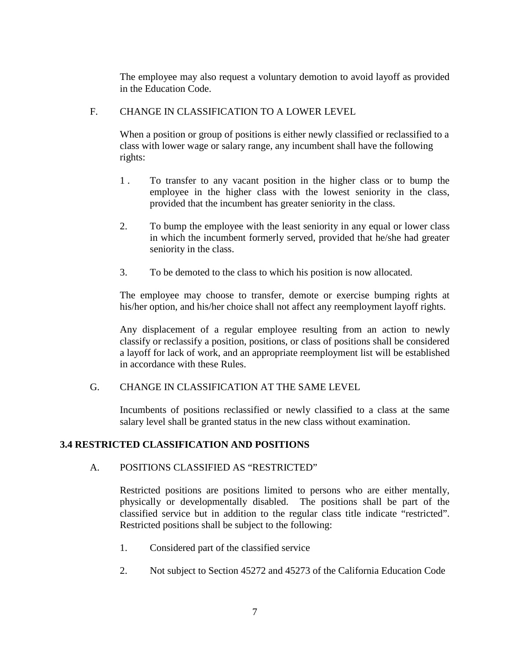The employee may also request a voluntary demotion to avoid layoff as provided in the Education Code.

### F. CHANGE IN CLASSIFICATION TO A LOWER LEVEL

When a position or group of positions is either newly classified or reclassified to a class with lower wage or salary range, any incumbent shall have the following rights:

- 1 . To transfer to any vacant position in the higher class or to bump the employee in the higher class with the lowest seniority in the class, provided that the incumbent has greater seniority in the class.
- 2. To bump the employee with the least seniority in any equal or lower class in which the incumbent formerly served, provided that he/she had greater seniority in the class.
- 3. To be demoted to the class to which his position is now allocated.

The employee may choose to transfer, demote or exercise bumping rights at his/her option, and his/her choice shall not affect any reemployment layoff rights.

Any displacement of a regular employee resulting from an action to newly classify or reclassify a position, positions, or class of positions shall be considered a layoff for lack of work, and an appropriate reemployment list will be established in accordance with these Rules.

## G. CHANGE IN CLASSIFICATION AT THE SAME LEVEL

Incumbents of positions reclassified or newly classified to a class at the same salary level shall be granted status in the new class without examination.

## **3.4 RESTRICTED CLASSIFICATION AND POSITIONS**

#### A. POSITIONS CLASSIFIED AS "RESTRICTED"

Restricted positions are positions limited to persons who are either mentally, physically or developmentally disabled. The positions shall be part of the classified service but in addition to the regular class title indicate "restricted". Restricted positions shall be subject to the following:

- 1. Considered part of the classified service
- 2. Not subject to Section 45272 and 45273 of the California Education Code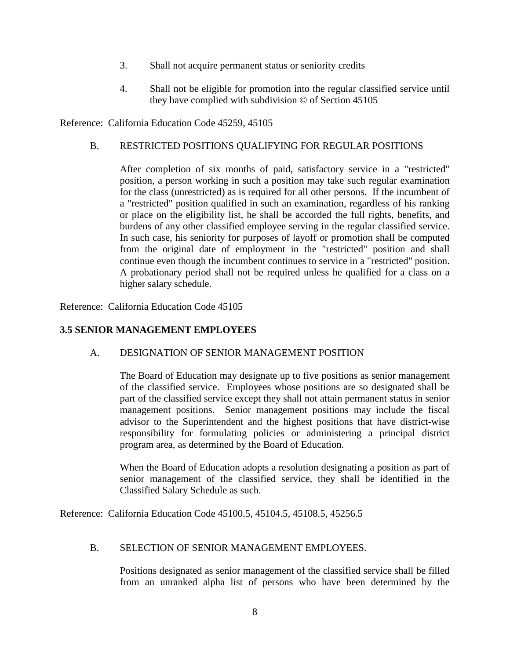- 3. Shall not acquire permanent status or seniority credits
- 4. Shall not be eligible for promotion into the regular classified service until they have complied with subdivision © of Section 45105

Reference: California Education Code 45259, 45105

### B. RESTRICTED POSITIONS QUALIFYING FOR REGULAR POSITIONS

After completion of six months of paid, satisfactory service in a "restricted" position, a person working in such a position may take such regular examination for the class (unrestricted) as is required for all other persons. If the incumbent of a "restricted" position qualified in such an examination, regardless of his ranking or place on the eligibility list, he shall be accorded the full rights, benefits, and burdens of any other classified employee serving in the regular classified service. In such case, his seniority for purposes of layoff or promotion shall be computed from the original date of employment in the "restricted" position and shall continue even though the incumbent continues to service in a "restricted" position. A probationary period shall not be required unless he qualified for a class on a higher salary schedule.

Reference: California Education Code 45105

## **3.5 SENIOR MANAGEMENT EMPLOYEES**

#### A. DESIGNATION OF SENIOR MANAGEMENT POSITION

The Board of Education may designate up to five positions as senior management of the classified service. Employees whose positions are so designated shall be part of the classified service except they shall not attain permanent status in senior management positions. Senior management positions may include the fiscal advisor to the Superintendent and the highest positions that have district-wise responsibility for formulating policies or administering a principal district program area, as determined by the Board of Education.

When the Board of Education adopts a resolution designating a position as part of senior management of the classified service, they shall be identified in the Classified Salary Schedule as such.

Reference: California Education Code 45100.5, 45104.5, 45108.5, 45256.5

#### B. SELECTION OF SENIOR MANAGEMENT EMPLOYEES.

Positions designated as senior management of the classified service shall be filled from an unranked alpha list of persons who have been determined by the